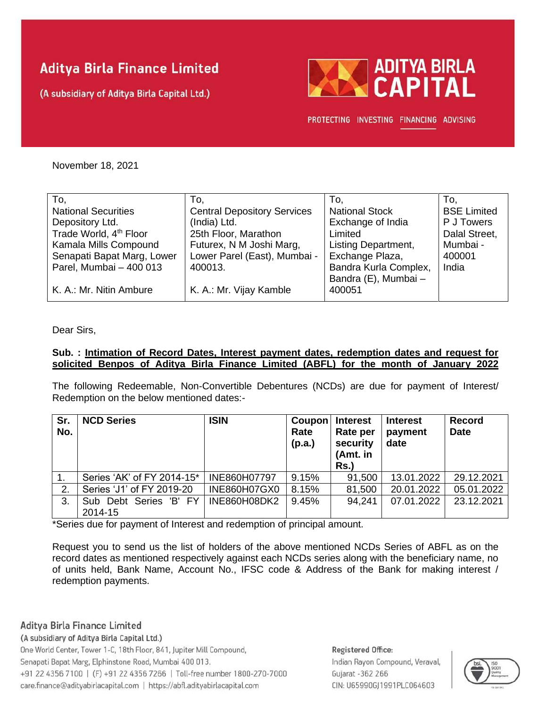# **Aditya Birla Finance Limited**

(A subsidiary of Aditya Birla Capital Ltd.)



PROTECTING INVESTING FINANCING ADVISING

November 18, 2021

| To.                                | To,                                | To.                   | To.                |
|------------------------------------|------------------------------------|-----------------------|--------------------|
| <b>National Securities</b>         | <b>Central Depository Services</b> | <b>National Stock</b> | <b>BSE Limited</b> |
| Depository Ltd.                    | (India) Ltd.                       | Exchange of India     | P J Towers         |
| Trade World, 4 <sup>th</sup> Floor | 25th Floor, Marathon               | Limited               | Dalal Street,      |
| Kamala Mills Compound              | Futurex, N M Joshi Marg,           | Listing Department,   | Mumbai -           |
| Senapati Bapat Marg, Lower         | Lower Parel (East), Mumbai -       | Exchange Plaza,       | 400001             |
| Parel, Mumbai - 400 013            | 400013.                            | Bandra Kurla Complex, | India              |
|                                    |                                    | Bandra (E), Mumbai -  |                    |
| K. A.: Mr. Nitin Ambure            | K. A.: Mr. Vijay Kamble            | 400051                |                    |
|                                    |                                    |                       |                    |

Dear Sirs,

### **Sub. : Intimation of Record Dates, Interest payment dates, redemption dates and request for solicited Benpos of Aditya Birla Finance Limited (ABFL) for the month of January 2022**

The following Redeemable, Non-Convertible Debentures (NCDs) are due for payment of Interest/ Redemption on the below mentioned dates:-

| Sr.<br>No. | <b>NCD Series</b>          | <b>ISIN</b>         | Coupon<br>Rate<br>(p.a.) | <b>Interest</b><br>Rate per<br>security<br>(Amt. in<br>Rs.) | <b>Interest</b><br>payment<br>date | <b>Record</b><br><b>Date</b> |
|------------|----------------------------|---------------------|--------------------------|-------------------------------------------------------------|------------------------------------|------------------------------|
|            | Series 'AK' of FY 2014-15* | INE860H07797        | 9.15%                    | 91,500                                                      | 13.01.2022                         | 29.12.2021                   |
| 2.         | Series 'J1' of FY 2019-20  | INE860H07GX0        | 8.15%                    | 81,500                                                      | 20.01.2022                         | 05.01.2022                   |
| 3.         | Sub Debt Series 'B' FY     | <b>INE860H08DK2</b> | 9.45%                    | 94.241                                                      | 07.01.2022                         | 23.12.2021                   |
|            | 2014-15                    |                     |                          |                                                             |                                    |                              |

\*Series due for payment of Interest and redemption of principal amount.

Request you to send us the list of holders of the above mentioned NCDs Series of ABFL as on the record dates as mentioned respectively against each NCDs series along with the beneficiary name, no of units held, Bank Name, Account No., IFSC code & Address of the Bank for making interest / redemption payments.

Aditya Birla Finance Limited

(A subsidiary of Aditya Birla Capital Ltd.)

One World Center, Tower 1-C, 18th Floor, 841, Jupiter Mill Compound, Senapati Bapat Marg, Elphinstone Road, Mumbai 400 013. +91 22 4356 7100 | (F) +91 22 4356 7266 | Toll-free number 1800-270-7000 care.finance@adityabirlacapital.com | https://abfl.adityabirlacapital.com

### Registered Office: Indian Rayon Compound, Veraval, Gujarat - 362 266 CIN: U65990GJ1991PLC064603